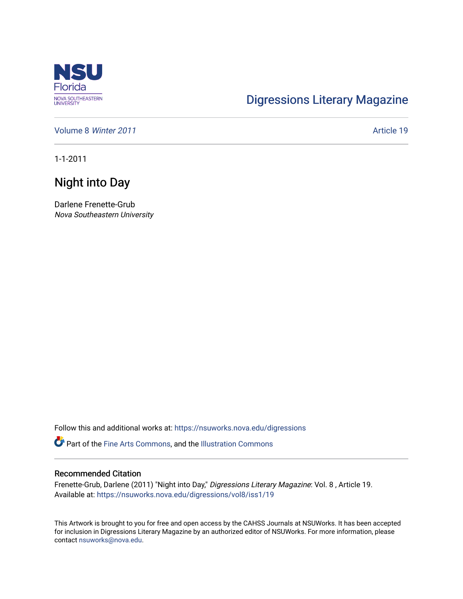

## [Digressions Literary Magazine](https://nsuworks.nova.edu/digressions)

[Volume 8](https://nsuworks.nova.edu/digressions/vol8) Winter 2011 **Article 19** 

1-1-2011

## Night into Day

Darlene Frenette-Grub Nova Southeastern University

Follow this and additional works at: [https://nsuworks.nova.edu/digressions](https://nsuworks.nova.edu/digressions?utm_source=nsuworks.nova.edu%2Fdigressions%2Fvol8%2Fiss1%2F19&utm_medium=PDF&utm_campaign=PDFCoverPages) 

Part of the [Fine Arts Commons,](http://network.bepress.com/hgg/discipline/1141?utm_source=nsuworks.nova.edu%2Fdigressions%2Fvol8%2Fiss1%2F19&utm_medium=PDF&utm_campaign=PDFCoverPages) and the [Illustration Commons](http://network.bepress.com/hgg/discipline/1135?utm_source=nsuworks.nova.edu%2Fdigressions%2Fvol8%2Fiss1%2F19&utm_medium=PDF&utm_campaign=PDFCoverPages)

## Recommended Citation

Frenette-Grub, Darlene (2011) "Night into Day," Digressions Literary Magazine: Vol. 8 , Article 19. Available at: [https://nsuworks.nova.edu/digressions/vol8/iss1/19](https://nsuworks.nova.edu/digressions/vol8/iss1/19?utm_source=nsuworks.nova.edu%2Fdigressions%2Fvol8%2Fiss1%2F19&utm_medium=PDF&utm_campaign=PDFCoverPages) 

This Artwork is brought to you for free and open access by the CAHSS Journals at NSUWorks. It has been accepted for inclusion in Digressions Literary Magazine by an authorized editor of NSUWorks. For more information, please contact [nsuworks@nova.edu.](mailto:nsuworks@nova.edu)